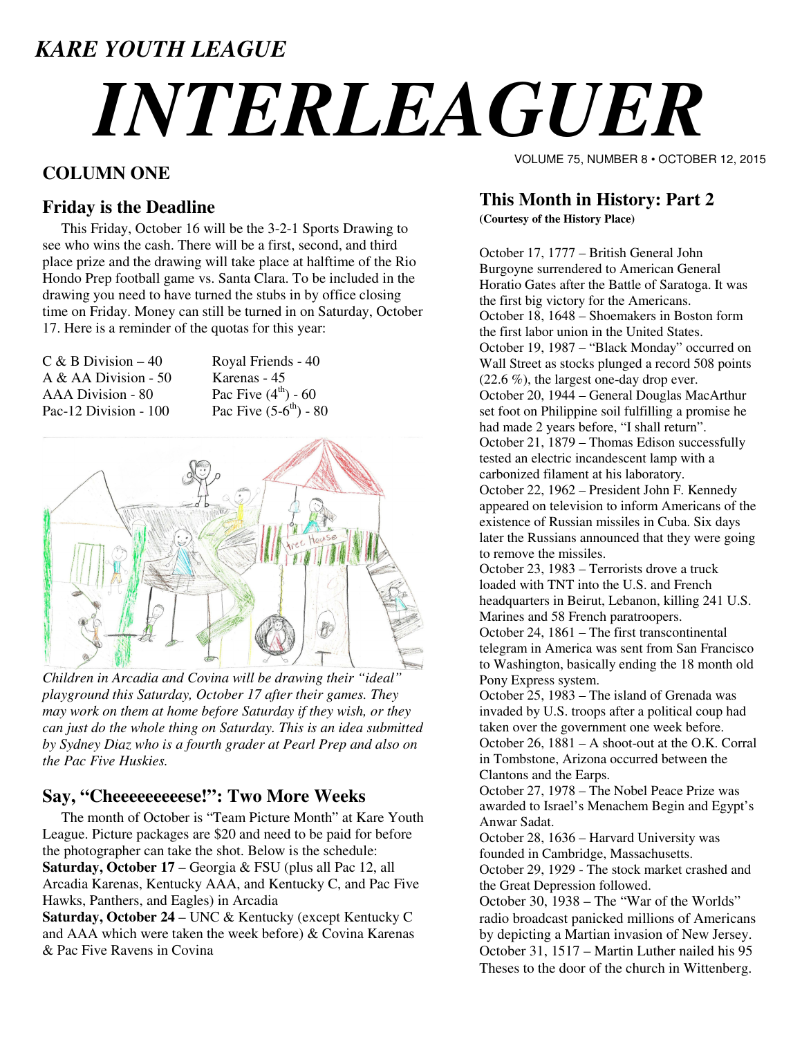# *KARE YOUTH LEAGUE INTERLEAGUER*

## **COLUMN ONE**

#### **Friday is the Deadline**

 This Friday, October 16 will be the 3-2-1 Sports Drawing to see who wins the cash. There will be a first, second, and third place prize and the drawing will take place at halftime of the Rio Hondo Prep football game vs. Santa Clara. To be included in the drawing you need to have turned the stubs in by office closing time on Friday. Money can still be turned in on Saturday, October 17. Here is a reminder of the quotas for this year:

| Royal Friends - 40         |
|----------------------------|
| Karenas - 45               |
| Pac Five $(4^{th}) - 60$   |
| Pac Five $(5-6^{th}) - 80$ |
|                            |



*Children in Arcadia and Covina will be drawing their "ideal" playground this Saturday, October 17 after their games. They may work on them at home before Saturday if they wish, or they can just do the whole thing on Saturday. This is an idea submitted by Sydney Diaz who is a fourth grader at Pearl Prep and also on the Pac Five Huskies.* 

#### **Say, "Cheeeeeeeeese!": Two More Weeks**

 The month of October is "Team Picture Month" at Kare Youth League. Picture packages are \$20 and need to be paid for before the photographer can take the shot. Below is the schedule: **Saturday, October 17** – Georgia & FSU (plus all Pac 12, all Arcadia Karenas, Kentucky AAA, and Kentucky C, and Pac Five Hawks, Panthers, and Eagles) in Arcadia

**Saturday, October 24** – UNC & Kentucky (except Kentucky C and AAA which were taken the week before) & Covina Karenas & Pac Five Ravens in Covina

VOLUME 75, NUMBER 8 • OCTOBER 12, 2015

### **This Month in History: Part 2**

**(Courtesy of the History Place)** 

October 17, 1777 – British General John Burgoyne surrendered to American General Horatio Gates after the Battle of Saratoga. It was the first big victory for the Americans. October 18, 1648 – Shoemakers in Boston form the first labor union in the United States. October 19, 1987 – "Black Monday" occurred on Wall Street as stocks plunged a record 508 points (22.6 %), the largest one-day drop ever. October 20, 1944 – General Douglas MacArthur set foot on Philippine soil fulfilling a promise he had made 2 years before, "I shall return". October 21, 1879 – Thomas Edison successfully tested an electric incandescent lamp with a carbonized filament at his laboratory. October 22, 1962 – President John F. Kennedy appeared on television to inform Americans of the existence of Russian missiles in Cuba. Six days later the Russians announced that they were going to remove the missiles.

October 23, 1983 – Terrorists drove a truck loaded with TNT into the U.S. and French headquarters in Beirut, Lebanon, killing 241 U.S. Marines and 58 French paratroopers.

October 24, 1861 – The first transcontinental telegram in America was sent from San Francisco to Washington, basically ending the 18 month old Pony Express system.

October 25, 1983 – The island of Grenada was invaded by U.S. troops after a political coup had taken over the government one week before. October 26, 1881 – A shoot-out at the O.K. Corral in Tombstone, Arizona occurred between the Clantons and the Earps.

October 27, 1978 – The Nobel Peace Prize was awarded to Israel's Menachem Begin and Egypt's Anwar Sadat.

October 28, 1636 – Harvard University was founded in Cambridge, Massachusetts.

October 29, 1929 - The stock market crashed and the Great Depression followed.

October 30, 1938 – The "War of the Worlds" radio broadcast panicked millions of Americans by depicting a Martian invasion of New Jersey. October 31, 1517 – Martin Luther nailed his 95 Theses to the door of the church in Wittenberg.